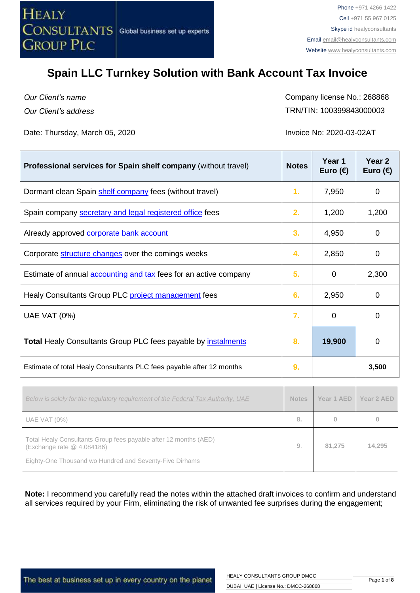

*Our Client's name Our Client's address* Company license No.: 268868 TRN/TIN: 100399843000003

Date: Thursday, March 05, 2020 **Invoice No. 2020-03-02AT** 

| Professional services for Spain shelf company (without travel)          | <b>Notes</b> | Year 1<br>Euro $(\epsilon)$ | Year <sub>2</sub><br>Euro $(\epsilon)$ |
|-------------------------------------------------------------------------|--------------|-----------------------------|----------------------------------------|
| Dormant clean Spain shelf company fees (without travel)                 | 1.           | 7,950                       | 0                                      |
| Spain company secretary and legal registered office fees                | 2.           | 1,200                       | 1,200                                  |
| Already approved corporate bank account                                 | 3.           | 4,950                       | 0                                      |
| Corporate <b>structure changes</b> over the comings weeks               | 4.           | 2,850                       | 0                                      |
| Estimate of annual <b>accounting and tax</b> fees for an active company | 5.           | 0                           | 2,300                                  |
| Healy Consultants Group PLC project management fees                     | 6.           | 2,950                       | 0                                      |
| <b>UAE VAT (0%)</b>                                                     | 7.           | $\Omega$                    | 0                                      |
| <b>Total Healy Consultants Group PLC fees payable by instalments</b>    | 8.           | 19,900                      | 0                                      |
| Estimate of total Healy Consultants PLC fees payable after 12 months    | 9.           |                             | 3,500                                  |

| 81.275 | 14,295 |
|--------|--------|
|        |        |

**Note:** I recommend you carefully read the notes within the attached draft invoices to confirm and understand all services required by your Firm, eliminating the risk of unwanted fee surprises during the engagement;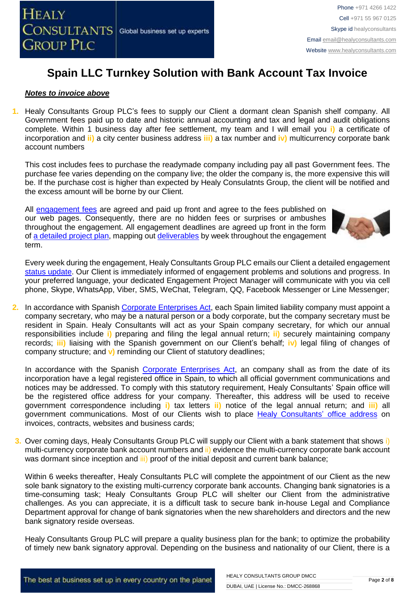

### *Notes to invoice above*

**1.** Healy Consultants Group PLC's fees to supply our Client a dormant clean Spanish shelf company. All Government fees paid up to date and historic annual accounting and tax and legal and audit obligations complete. Within 1 business day after fee settlement, my team and I will email you **i)** a certificate of incorporation and **ii)** a city center business address **iii)** a tax number and **iv)** multicurrency corporate bank account numbers

This cost includes fees to purchase the readymade company including pay all past Government fees. The purchase fee varies depending on the company live; the older the company is, the more expensive this will be. If the purchase cost is higher than expected by Healy Consulatnts Group, the client will be notified and the excess amount will be borne by our Client.

All [engagement fees](http://www.healyconsultants.com/company-registration-fees/) are agreed and paid up front and agree to the fees published on our web pages. Consequently, there are no hidden fees or surprises or ambushes throughout the engagement. All engagement deadlines are agreed up front in the form of [a detailed project plan,](http://www.healyconsultants.com/index-important-links/example-project-plan/) mapping out [deliverables](https://www.healyconsultants.com/company-formation/deliverables-to-clients/) by week throughout the engagement term.



Every week during the engagement, Healy Consultants Group PLC emails our Client a detailed engagement [status update.](http://www.healyconsultants.com/index-important-links/weekly-engagement-status-email/) Our Client is immediately informed of engagement problems and solutions and progress. In your preferred language, your dedicated Engagement Project Manager will communicate with you via cell phone, Skype, WhatsApp, Viber, SMS, WeChat, Telegram, QQ, Facebook Messenger or Line Messenger;

**2.** In accordance with Spanish [Corporate Enterprises Act,](http://law.au.dk/fileadmin/www.asb.dk/omasb/institutter/erhvervsjuridiskinstitut/EMCA/Spanish_Act.pdf) each Spain limited liability company must appoint a company secretary, who may be a natural person or a body corporate, but the company secretary must be resident in Spain. Healy Consultants will act as your Spain company secretary, for which our annual responsibilities include **i)** preparing and filing the legal annual return; **ii)** securely maintaining company records; **iii)** liaising with the Spanish government on our Client's behalf; **iv)** legal filing of changes of company structure; and **v)** reminding our Client of statutory deadlines;

In accordance with the Spanish [Corporate Enterprises Act,](http://law.au.dk/fileadmin/www.asb.dk/omasb/institutter/erhvervsjuridiskinstitut/EMCA/Spanish_Act.pdf) an company shall as from the date of its incorporation have a legal registered office in Spain, to which all official government communications and notices may be addressed. To comply with this statutory requirement, Healy Consultants' Spain office will be the registered office address for your company. Thereafter, this address will be used to receive government correspondence including **i)** tax letters **ii)** notice of the legal annual return; and **iii)** all government communications. Most of our Clients wish to place [Healy Consultants'](http://www.healyconsultants.com/corporate-outsourcing-services/company-secretary-and-legal-registered-office/) office address on invoices, contracts, websites and business cards;

**3.** Over coming days, Healy Consultants Group PLC will supply our Client with a bank statement that shows i) multi-currency corporate bank account numbers and ii) evidence the multi-currency corporate bank account was dormant since inception and iii) proof of the initial deposit and current bank balance;

Within 6 weeks thereafter, Healy Consultants PLC will complete the appointment of our Client as the new sole bank signatory to the existing [multi-currency corporate bank accounts](https://www.healyconsultants.com/international-banking/). Changing bank signatories is a time-consuming task; Healy Consultants Group PLC will shelter our Client from the administrative challenges. As you can appreciate, it is a difficult task to secure bank in-house Legal and Compliance Department approval for change of bank signatories when the new shareholders and directors and the new bank signatory reside overseas.

Healy Consultants Group PLC will prepare a quality business plan for the bank; to optimize the probability of timely new bank signatory approval. Depending on the business and nationality of our Client, there is a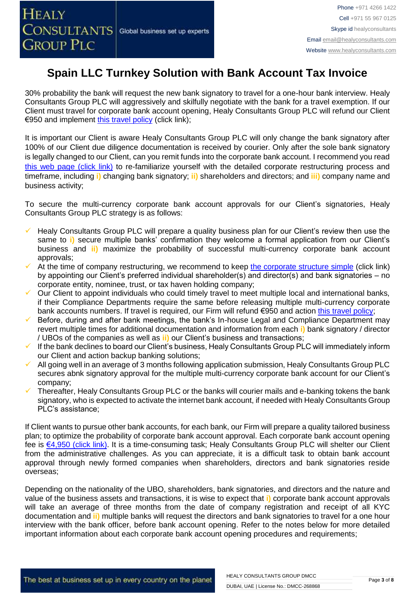**HEALY** 

# **Spain LLC Turnkey Solution with Bank Account Tax Invoice**

30% probability the bank will request the new bank signatory to travel for a one-hour bank interview. Healy Consultants Group PLC will aggressively and skilfully negotiate with the bank for a travel exemption. If our Client must travel for corporate bank account opening, Healy Consultants Group PLC will refund our Client €950 and implement [this travel policy](https://www.healyconsultants.com/international-banking/corporate-accounts/meet-bank-officer/) (click link);

It is important our Client is aware Healy Consultants Group PLC will only change the bank signatory after 100% of our Client due diligence documentation is received by courier. Only after the sole bank signatory is legally changed to our Client, can you remit funds into the corporate bank account. I recommend you read [this web page \(click link\)](http://www.healyconsultants.com/australia-company-registration/turnkey-solutions/) to re-familiarize yourself with the detailed corporate restructuring process and timeframe, including **i)** changing bank signatory; **ii)** shareholders and directors; and **iii)** company name and business activity;

To secure the multi-currency corporate bank account approvals for our Client's signatories, Healy Consultants Group PLC strategy is as follows:

- Healy Consultants Group PLC will prepare a quality business plan for our Client's review then use the same to **i**) secure multiple banks' confirmation they welcome a formal application from our Client's business and **ii)** maximize the probability of successful multi-currency corporate bank account approvals;
- At the time of company restructuring, we recommend to keep [the corporate structure simple](https://www.healyconsultants.com/turnkey-solutions/singapore-turnkey-company-structure/) (click link) by appointing our Client's preferred individual shareholder(s) and director(s) and bank signatories – no corporate entity, nominee, trust, or tax haven holding company;
- Our Client to appoint individuals who could timely travel to meet multiple local and international banks, if their Compliance Departments require the same before releasing multiple multi-currency corporate bank accounts numbers. If travel is required, our Firm will refund €950 and action [this travel policy;](https://www.healyconsultants.com/international-banking/corporate-accounts/meet-bank-officer/)
- Before, during and after bank meetings, the bank's In-house Legal and Compliance Department may revert multiple times for additional documentation and information from each **i)** bank signatory / director / UBOs of the companies as well as **ii)** our Client's business and transactions;
- If the bank declines to board our Client's business, Healy Consultants Group PLC will immediately inform our Client and action backup banking solutions;
- All going well in an average of 3 months following application submission, Healy Consultants Group PLC secures abnk signatory approval for the multiple multi-currency corporate bank account for our Client's company;
- Thereafter, Healy Consultants Group PLC or the banks will courier mails and e-banking tokens the bank signatory, who is expected to activate the internet bank account, if needed with Healy Consultants Group PLC's assistance;

If Client wants to pursue other bank accounts, for each bank, our Firm will prepare a quality tailored business plan; to optimize the probability of corporate bank account approval. Each corporate bank account opening fee is [€4,950 \(click link\).](https://www.healyconsultants.com/global-corporate-banking-for-resident-company/) It is a time-consuming task; Healy Consultants Group PLC will shelter our Client from the administrative challenges. As you can appreciate, it is a difficult task to obtain bank account approval through newly formed companies when shareholders, directors and bank signatories reside overseas;

Depending on the nationality of the UBO, shareholders, bank signatories, and directors and the nature and value of the business assets and transactions, it is wise to expect that **i)** corporate bank account approvals will take an average of three months from the date of company registration and receipt of all KYC documentation and **ii)** multiple banks will request the directors and bank signatories to travel for a one hour interview with the bank officer, before bank account opening. Refer to the notes below for more detailed important information about each corporate bank account opening procedures and requirements;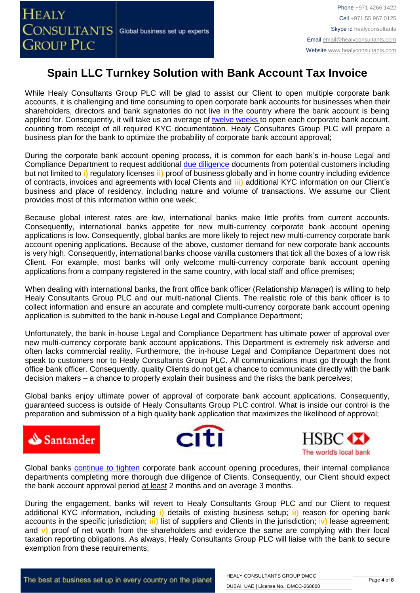While Healy Consultants Group PLC will be glad to assist our Client to open multiple corporate bank accounts, it is challenging and time consuming to open corporate bank accounts for businesses when their shareholders, directors and bank signatories do not live in the country where the bank account is being applied for. Consequently, it will take us an average of [twelve weeks](http://www.healyconsultants.com/international-banking/bitcoin-business-bank-account/) to open each corporate bank account, counting from receipt of all required KYC documentation. Healy Consultants Group PLC will prepare a business plan for the bank to optimize the probability of corporate bank account approval;

During the corporate bank account opening process, it is common for each bank's in-house Legal and Compliance Department to request additional [due diligence](http://www.healyconsultants.com/due-diligence/) documents from potential customers including but not limited to **i)** regulatory licenses **ii)** proof of business globally and in home country including evidence of contracts, invoices and agreements with local Clients and **iii)** additional KYC information on our Client's business and place of residency, including nature and volume of transactions. We assume our Client provides most of this information within one week;

Because global interest rates are low, international banks make little profits from current accounts. Consequently, international banks appetite for new multi-currency corporate bank account opening applications is low. Consequently, global banks are more likely to reject new multi-currency corporate bank account opening applications. Because of the above, customer demand for new corporate bank accounts is very high. Consequently, international banks choose vanilla customers that tick all the boxes of a low risk Client. For example, most banks will only welcome multi-currency corporate bank account opening applications from a company registered in the same country, with local staff and office premises;

When dealing with international banks, the front office bank officer (Relationship Manager) is willing to help Healy Consultants Group PLC and our multi-national Clients. The realistic role of this bank officer is to collect information and ensure an accurate and complete multi-currency corporate bank account opening application is submitted to the bank in-house Legal and Compliance Department;

Unfortunately, the bank in-house Legal and Compliance Department has ultimate power of approval over new multi-currency corporate bank account applications. This Department is extremely risk adverse and often lacks commercial reality. Furthermore, the in-house Legal and Compliance Department does not speak to customers nor to Healy Consultants Group PLC. All communications must go through the front office bank officer. Consequently, quality Clients do not get a chance to communicate directly with the bank decision makers – a chance to properly explain their business and the risks the bank perceives;

Global banks enjoy ultimate power of approval of corporate bank account applications. Consequently, guaranteed success is outside of Healy Consultants Group PLC control. What is inside our control is the preparation and submission of a high quality bank application that maximizes the likelihood of approval;







Global banks [continue to tighten](https://www.healyconsultants.com/international-banking/opening-corporate-bank-accounts/) corporate bank account opening procedures, their internal compliance departments completing more thorough due diligence of Clients. Consequently, our Client should expect the bank account approval period at least 2 months and on average 3 months.

During the engagement, banks will revert to Healy Consultants Group PLC and our Client to request additional KYC information, including **i)** details of existing business setup; **ii)** reason for opening bank accounts in the specific jurisdiction; **iii)** list of suppliers and Clients in the jurisdiction; i**v)** lease agreement; and **v)** proof of net worth from the shareholders and evidence the same are complying with their local taxation reporting obligations. As always, Healy Consultants Group PLC will liaise with the bank to secure exemption from these requirements;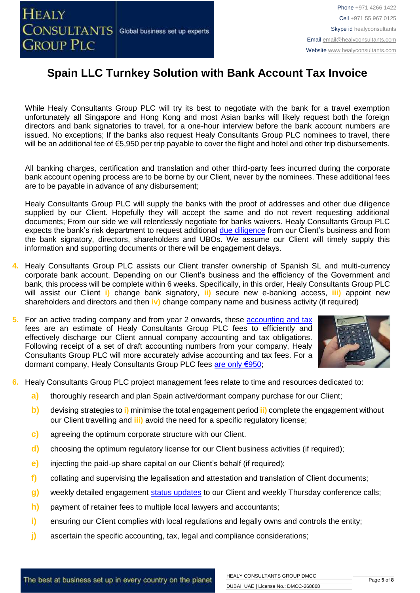While Healy Consultants Group PLC will try its best to negotiate with the bank for a travel exemption unfortunately all Singapore and Hong Kong and most Asian banks will likely request both the foreign directors and bank signatories to travel, for a one-hour interview before the bank account numbers are issued. No exceptions; If the banks also request Healy Consultants Group PLC nominees to travel, there will be an additional fee of €5,950 per trip payable to cover the flight and hotel and other trip disbursements.

All banking charges, certification and translation and other third-party fees incurred during the corporate bank account opening process are to be borne by our Client, never by the nominees. These additional fees are to be payable in advance of any disbursement;

Healy Consultants Group PLC will supply the banks with the proof of addresses and other due diligence supplied by our Client. Hopefully they will accept the same and do not revert requesting additional documents; From our side we will relentlessly negotiate for banks waivers. Healy Consultants Group PLC expects the bank's risk department to request additional [due diligence](http://www.healyconsultants.com/due-diligence/) from our Client's business and from the bank signatory, directors, shareholders and UBOs. We assume our Client will timely supply this information and supporting documents or there will be engagement delays.

- **4.** Healy Consultants Group PLC assists our Client transfer ownership of Spanish SL and multi-currency corporate bank account. Depending on our Client's business and the efficiency of the Government and bank, this process will be complete within 6 weeks. Specifically, in this order, Healy Consultants Group PLC will assist our Client **i)** change bank signatory, **ii)** secure new e-banking access, **iii)** appoint new shareholders and directors and then **iv)** change company name and business activity (if required)
- **5.** For an active trading company and from year 2 onwards, these [accounting and tax](https://www.healyconsultants.com/spain-company-registration/accounting-legal/) fees are an estimate of Healy Consultants Group PLC fees to efficiently and effectively discharge our Client annual company accounting and tax obligations. Following receipt of a set of draft accounting numbers from your company, Healy Consultants Group PLC will more accurately advise accounting and tax fees. For a dormant company, Healy Consultants Group PLC fees [are only €950;](https://www.healyconsultants.com/noindex/Dormant-Company.pdf)



- **6.** Healy Consultants Group PLC project management fees relate to time and resources dedicated to:
	- **a)** thoroughly research and plan Spain active/dormant company purchase for our Client;
	- **b)** devising strategies to **i)** minimise the total engagement period **ii)** complete the engagement without our Client travellin[g](http://www.healyconsultants.com/corporate-advisory-services/nominee-shareholders-directors/national-shareholder-services/) and **iii)** avoid the need for a specific regulatory license;
	- **c)** agreeing the optimum corporate structure with our Client.
	- **d)** choosing the optimum regulatory license for our Client business activities (if required);
	- **e)** injecting the paid-up share capital on our Client's behalf (if required);
	- **f)** collating and supervising the legalisation and attestation and translation of Client documents;
	- **g)** weekly detailed engagement [status updates](http://www.healyconsultants.com/index-important-links/weekly-engagement-status-email/) to our Client and weekly Thursday conference calls;
	- **h)** payment of retainer fees to multiple local lawyers and accountants;
	- **i)** ensuring our Client complies with local regulations and legally owns and controls the entity;
	- **j)** ascertain the specific accounting, tax, legal and compliance considerations;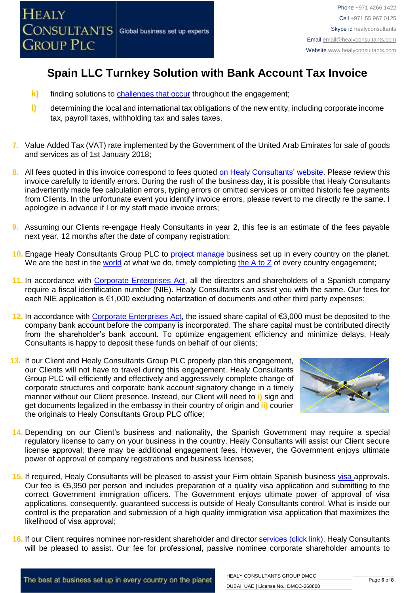

- **k)** finding solutions to [challenges that occur](http://www.healyconsultants.com/engagement-project-management/) throughout the engagement;
- **l)** determining the local and international tax obligations of the new entity, including corporate income tax, payroll taxes, withholding tax and sales taxes.
- **7.** Value Added Tax (VAT) rate implemented by the Government of the United Arab Emirates for sale of goods and services as of 1st January 2018;
- **8.** All fees quoted in this invoice correspond to fees quoted [on Healy Consultants' website.](http://www.healyconsultants.com/company-registration-fees/) Please review this invoice carefully to identify errors. During the rush of the business day, it is possible that Healy Consultants inadvertently made fee calculation errors, typing errors or omitted services or omitted historic fee payments from Clients. In the unfortunate event you identify invoice errors, please revert to me directly re the same. I apologize in advance if I or my staff made invoice errors;
- **9.** Assuming our Clients re-engage Healy Consultants in year 2, this fee is an estimate of the fees payable next year, 12 months after the date of company registration;
- 10. Engage Healy Consultants Group PLC to [project manage](http://www.healyconsultants.com/project-manage-engagements/) business set up in every country on the planet. We are the best in the [world](http://www.healyconsultants.com/best-in-the-world/) at what we do, timely completing the  $A$  to  $Z$  of every country engagement;
- 11. In accordance with [Corporate Enterprises Act,](http://law.au.dk/fileadmin/www.asb.dk/omasb/institutter/erhvervsjuridiskinstitut/EMCA/Spanish_Act.pdf) all the directors and shareholders of a Spanish company require a fiscal identification number (NIE). Healy Consultants can assist you with the same. Our fees for each NIE application is €1,000 excluding notarization of documents and other third party expenses;
- **12.** In accordance with [Corporate Enterprises Act,](http://law.au.dk/fileadmin/www.asb.dk/omasb/institutter/erhvervsjuridiskinstitut/EMCA/Spanish_Act.pdf) the issued share capital of €3,000 must be deposited to the company bank account before the company is incorporated. The share capital must be contributed directly from the shareholder's bank account. To optimize engagement efficiency and minimize delays, Healy Consultants is happy to deposit these funds on behalf of our clients;
- **13.** If our Client and Healy Consultants Group PLC properly plan this engagement, our Clients will not have to travel during this engagement. Healy Consultants Group PLC will efficiently and effectively and aggressively complete change of corporate structures and corporate bank account signatory change in a timely manner without our Client presence. Instead, our Client will need to **i)** sign and get documents legalized in the embassy in their country of origin and **ii)** courier the originals to Healy Consultants Group PLC office;



- **14.** Depending on our Client's business and nationality, the Spanish Government may require a special regulatory license to carry on your business in the country. Healy Consultants will assist our Client secure license approval; there may be additional engagement fees. However, the Government enjoys ultimate power of approval of company registrations and business licenses;
- **15.** If required, Healy Consultants will be pleased to assist your Firm obtain Spanish business [visa a](http://www.healyconsultants.com/spain-company-registration/formation-support-services/)pprovals. Our fee is €5,950 per person and includes preparation of a quality visa application and submitting to the correct Government immigration officers. The Government enjoys ultimate power of approval of visa applications, consequently, guaranteed success is outside of Healy Consultants control. What is inside our control is the preparation and submission of a high quality immigration visa application that maximizes the likelihood of visa approval;
- **16.** If our Client requires nominee non-resident shareholder and director services [\(click link\),](http://www.healyconsultants.com/corporate-outsourcing-services/nominee-shareholders-directors/) Healy Consultants will be pleased to assist. Our fee for professional, passive nominee corporate shareholder amounts to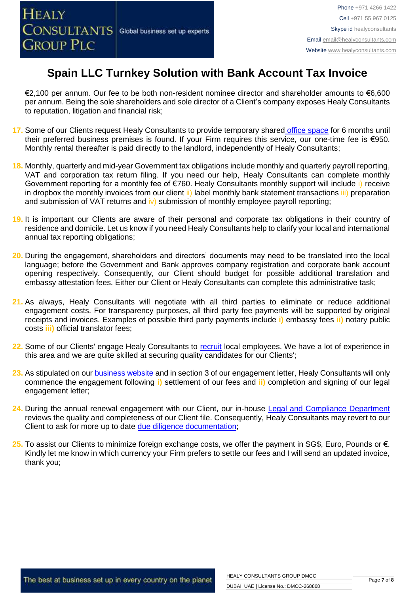€2,100 per annum. Our fee to be both non-resident nominee director and shareholder amounts to €6,600 per annum. Being the sole shareholders and sole director of a Client's company exposes Healy Consultants to reputation, litigation and financial risk;

- **17.** Some of our Clients request Healy Consultants to provide temporary shared [office space](http://www.healyconsultants.com/virtual-office/) for 6 months until their preferred business premises is found. If your Firm requires this service, our one-time fee is €950. Monthly rental thereafter is paid directly to the landlord, independently of Healy Consultants;
- **18.** Monthly, quarterly and mid-year Government tax obligations include monthly and quarterly payroll reporting, VAT and corporation tax return filing. If you need our help, Healy Consultants can complete monthly Government reporting for a monthly fee of €760. Healy Consultants monthly support will include i) receive in dropbox the monthly invoices from our client ii) label monthly bank statement transactions iii) preparation and submission of VAT returns and  $\mathbf{i}v$ ) submission of monthly employee payroll reporting;
- **19.** It is important our Clients are aware of their personal and corporate tax obligations in their country of residence and domicile. Let us know if you need Healy Consultants help to clarify your local and international annual tax reporting obligations;
- **20.** During the engagement, shareholders and directors' documents may need to be translated into the local language; before the Government and Bank approves company registration and corporate bank account opening respectively. Consequently, our Client should budget for possible additional translation and embassy attestation fees. Either our Client or Healy Consultants can complete this administrative task;
- **21.** As always, Healy Consultants will negotiate with all third parties to eliminate or reduce additional engagement costs. For transparency purposes, all third party fee payments will be supported by original receipts and invoices. Examples of possible third party payments include **i)** embassy fees **ii)** notary public costs **iii)** official translator fees;
- **22.** Some of our Clients' engage Healy Consultants to [recruit](http://www.healyconsultants.com/corporate-outsourcing-services/how-we-help-our-clients-recruit-quality-employees/) local employees. We have a lot of experience in this area and we are quite skilled at securing quality candidates for our Clients';
- 23. As stipulated on our **business website** and in section 3 of our engagement letter, Healy Consultants will only commence the engagement following **i)** settlement of our fees and **ii)** completion and signing of our legal engagement letter;
- 24. During the annual renewal engagement with our Client, our in-house [Legal and Compliance Department](http://www.healyconsultants.com/about-us/key-personnel/cai-xin-profile/) reviews the quality and completeness of our Client file. Consequently, Healy Consultants may revert to our Client to ask for more up to date [due diligence documentation;](http://www.healyconsultants.com/due-diligence/)
- **25.** To assist our Clients to minimize foreign exchange costs, we offer the payment in SG\$, Euro, Pounds or €. Kindly let me know in which currency your Firm prefers to settle our fees and I will send an updated invoice, thank you;